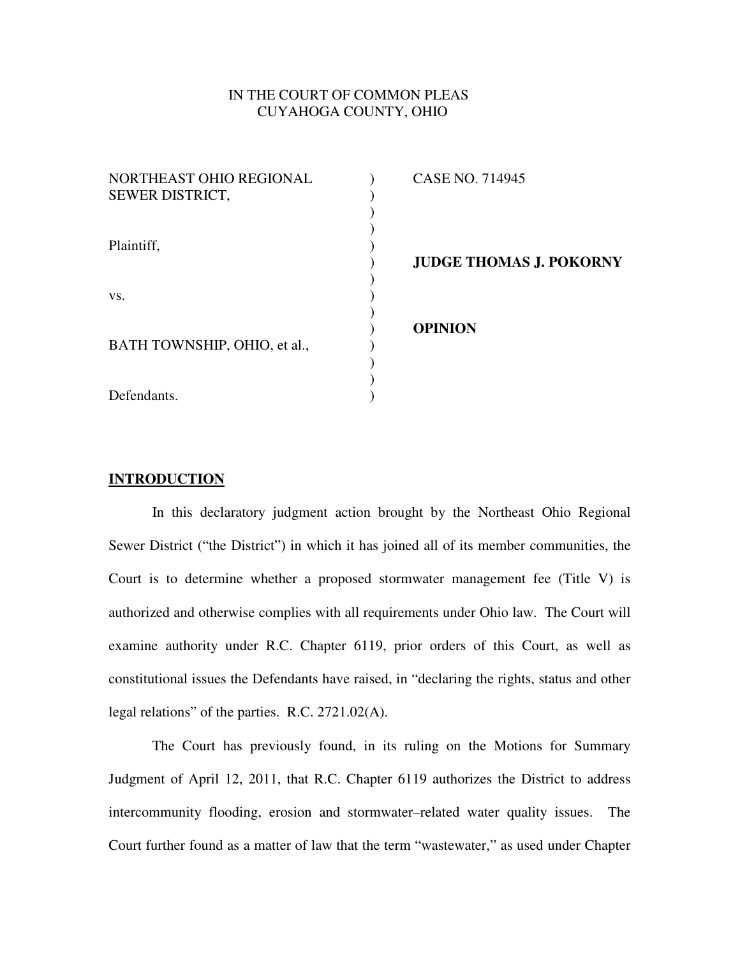# IN THE COURT OF COMMON PLEAS CUYAHOGA COUNTY, OHIO

| NORTHEAST OHIO REGIONAL<br>SEWER DISTRICT, | <b>CASE NO. 714945</b>         |
|--------------------------------------------|--------------------------------|
| Plaintiff,                                 | <b>JUDGE THOMAS J. POKORNY</b> |
| VS.                                        |                                |
| BATH TOWNSHIP, OHIO, et al.,               | <b>OPINION</b>                 |
| Defendants.                                |                                |

# **INTRODUCTION**

In this declaratory judgment action brought by the Northeast Ohio Regional Sewer District ("the District") in which it has joined all of its member communities, the Court is to determine whether a proposed stormwater management fee (Title V) is authorized and otherwise complies with all requirements under Ohio law. The Court will examine authority under R.C. Chapter 6119, prior orders of this Court, as well as constitutional issues the Defendants have raised, in "declaring the rights, status and other legal relations" of the parties. R.C. 2721.02(A).

The Court has previously found, in its ruling on the Motions for Summary Judgment of April 12, 2011, that R.C. Chapter 6119 authorizes the District to address intercommunity flooding, erosion and stormwater–related water quality issues. The Court further found as a matter of law that the term "wastewater," as used under Chapter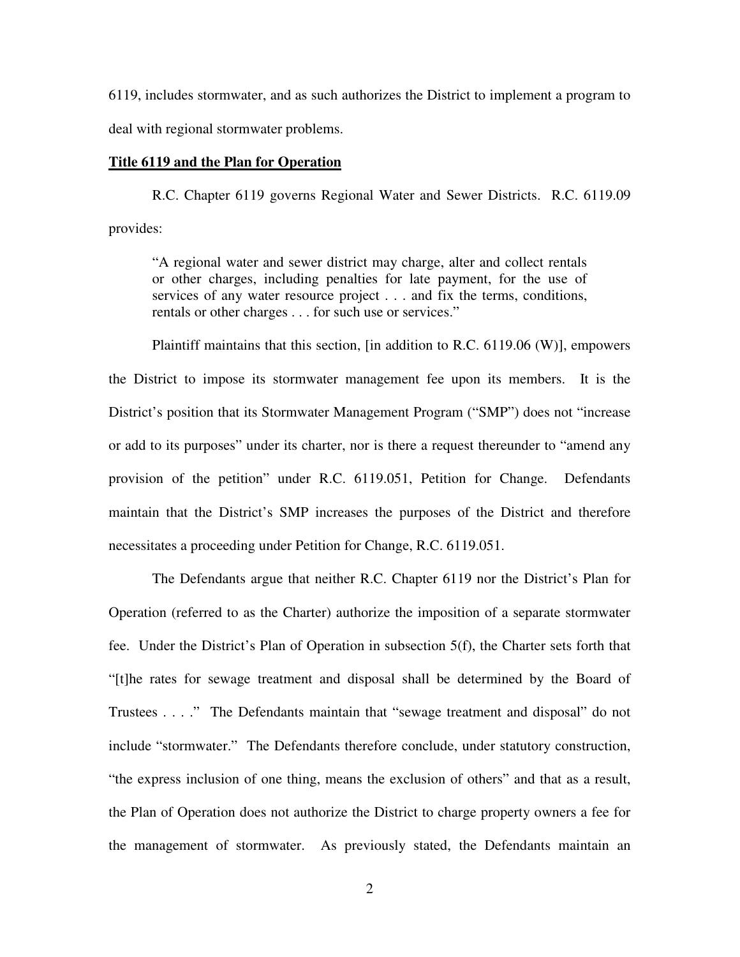6119, includes stormwater, and as such authorizes the District to implement a program to deal with regional stormwater problems.

### **Title 6119 and the Plan for Operation**

R.C. Chapter 6119 governs Regional Water and Sewer Districts. R.C. 6119.09 provides:

"A regional water and sewer district may charge, alter and collect rentals or other charges, including penalties for late payment, for the use of services of any water resource project . . . and fix the terms, conditions, rentals or other charges . . . for such use or services."

Plaintiff maintains that this section, [in addition to R.C. 6119.06 (W)], empowers the District to impose its stormwater management fee upon its members. It is the District's position that its Stormwater Management Program ("SMP") does not "increase or add to its purposes" under its charter, nor is there a request thereunder to "amend any provision of the petition" under R.C. 6119.051, Petition for Change. Defendants maintain that the District's SMP increases the purposes of the District and therefore necessitates a proceeding under Petition for Change, R.C. 6119.051.

The Defendants argue that neither R.C. Chapter 6119 nor the District's Plan for Operation (referred to as the Charter) authorize the imposition of a separate stormwater fee. Under the District's Plan of Operation in subsection 5(f), the Charter sets forth that "[t]he rates for sewage treatment and disposal shall be determined by the Board of Trustees . . . ." The Defendants maintain that "sewage treatment and disposal" do not include "stormwater." The Defendants therefore conclude, under statutory construction, "the express inclusion of one thing, means the exclusion of others" and that as a result, the Plan of Operation does not authorize the District to charge property owners a fee for the management of stormwater. As previously stated, the Defendants maintain an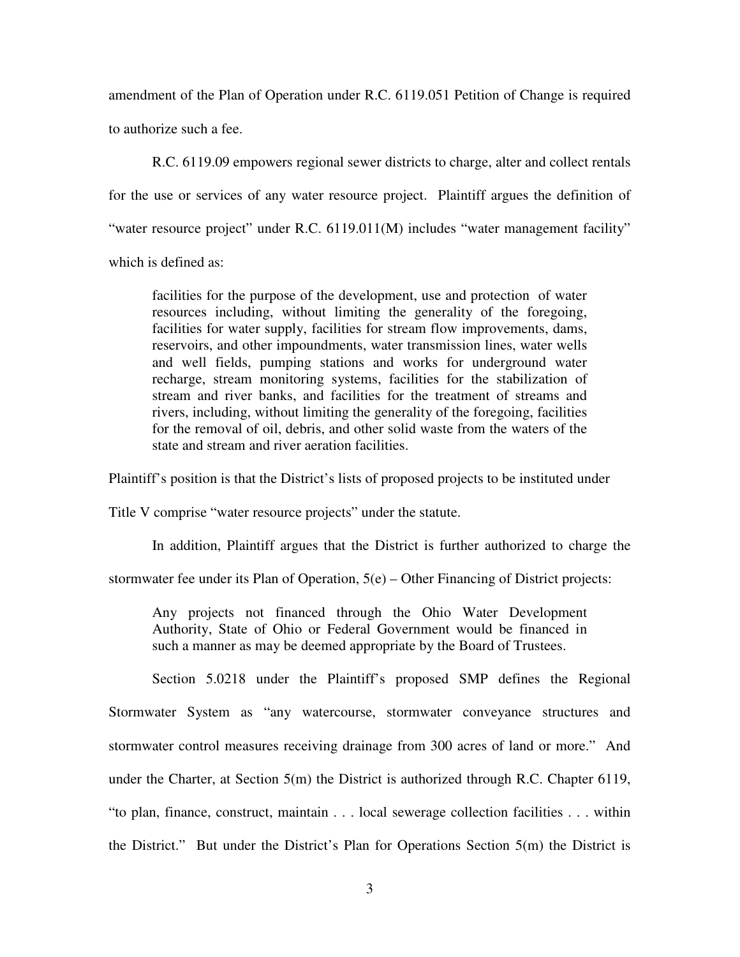amendment of the Plan of Operation under R.C. 6119.051 Petition of Change is required to authorize such a fee.

R.C. 6119.09 empowers regional sewer districts to charge, alter and collect rentals for the use or services of any water resource project. Plaintiff argues the definition of "water resource project" under R.C. 6119.011(M) includes "water management facility" which is defined as:

facilities for the purpose of the development, use and protection of water resources including, without limiting the generality of the foregoing, facilities for water supply, facilities for stream flow improvements, dams, reservoirs, and other impoundments, water transmission lines, water wells and well fields, pumping stations and works for underground water recharge, stream monitoring systems, facilities for the stabilization of stream and river banks, and facilities for the treatment of streams and rivers, including, without limiting the generality of the foregoing, facilities for the removal of oil, debris, and other solid waste from the waters of the state and stream and river aeration facilities.

Plaintiff's position is that the District's lists of proposed projects to be instituted under

Title V comprise "water resource projects" under the statute.

In addition, Plaintiff argues that the District is further authorized to charge the

stormwater fee under its Plan of Operation, 5(e) – Other Financing of District projects:

Any projects not financed through the Ohio Water Development Authority, State of Ohio or Federal Government would be financed in such a manner as may be deemed appropriate by the Board of Trustees.

Section 5.0218 under the Plaintiff's proposed SMP defines the Regional Stormwater System as "any watercourse, stormwater conveyance structures and stormwater control measures receiving drainage from 300 acres of land or more." And under the Charter, at Section 5(m) the District is authorized through R.C. Chapter 6119, "to plan, finance, construct, maintain . . . local sewerage collection facilities . . . within the District." But under the District's Plan for Operations Section 5(m) the District is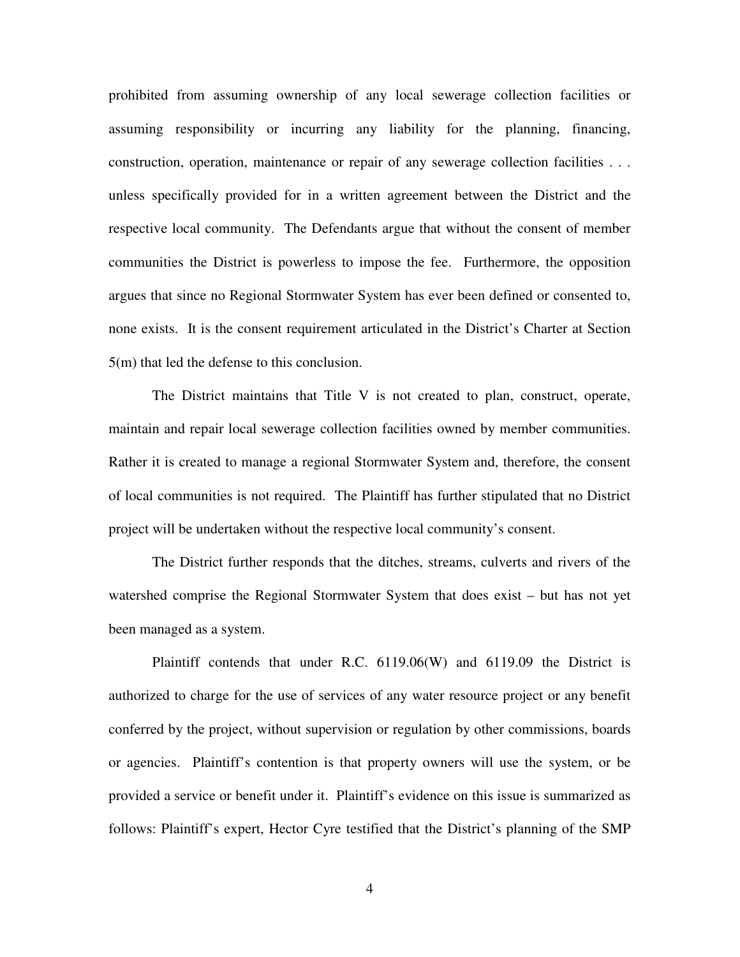prohibited from assuming ownership of any local sewerage collection facilities or assuming responsibility or incurring any liability for the planning, financing, construction, operation, maintenance or repair of any sewerage collection facilities . . . unless specifically provided for in a written agreement between the District and the respective local community. The Defendants argue that without the consent of member communities the District is powerless to impose the fee. Furthermore, the opposition argues that since no Regional Stormwater System has ever been defined or consented to, none exists. It is the consent requirement articulated in the District's Charter at Section 5(m) that led the defense to this conclusion.

The District maintains that Title V is not created to plan, construct, operate, maintain and repair local sewerage collection facilities owned by member communities. Rather it is created to manage a regional Stormwater System and, therefore, the consent of local communities is not required. The Plaintiff has further stipulated that no District project will be undertaken without the respective local community's consent.

The District further responds that the ditches, streams, culverts and rivers of the watershed comprise the Regional Stormwater System that does exist – but has not yet been managed as a system.

Plaintiff contends that under R.C. 6119.06(W) and 6119.09 the District is authorized to charge for the use of services of any water resource project or any benefit conferred by the project, without supervision or regulation by other commissions, boards or agencies. Plaintiff's contention is that property owners will use the system, or be provided a service or benefit under it. Plaintiff's evidence on this issue is summarized as follows: Plaintiff's expert, Hector Cyre testified that the District's planning of the SMP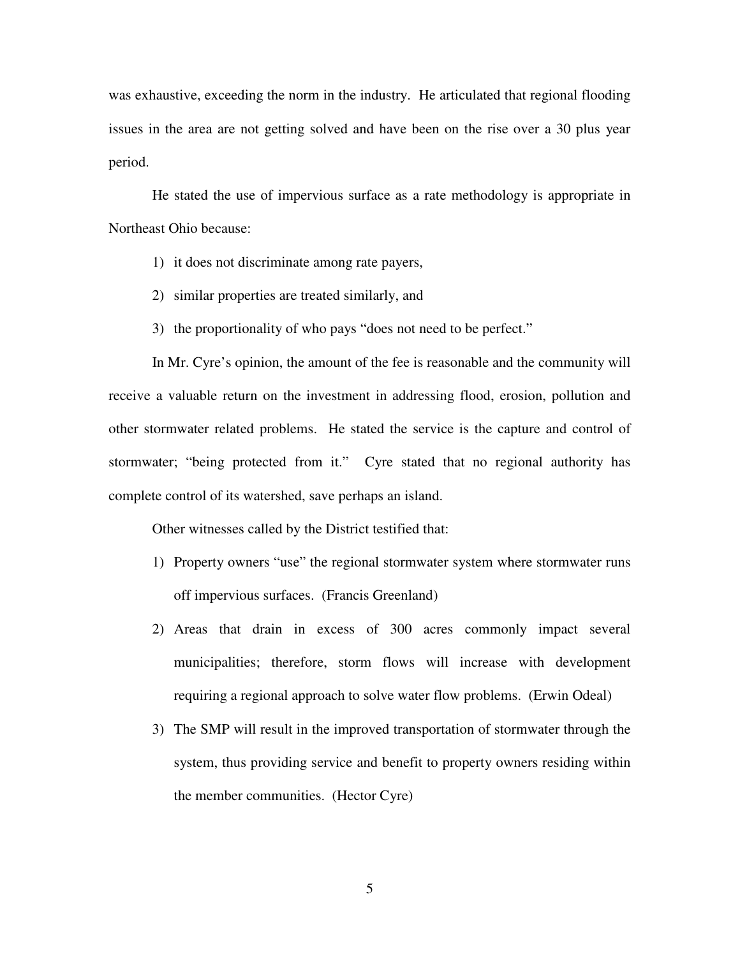was exhaustive, exceeding the norm in the industry. He articulated that regional flooding issues in the area are not getting solved and have been on the rise over a 30 plus year period.

He stated the use of impervious surface as a rate methodology is appropriate in Northeast Ohio because:

- 1) it does not discriminate among rate payers,
- 2) similar properties are treated similarly, and
- 3) the proportionality of who pays "does not need to be perfect."

In Mr. Cyre's opinion, the amount of the fee is reasonable and the community will receive a valuable return on the investment in addressing flood, erosion, pollution and other stormwater related problems. He stated the service is the capture and control of stormwater; "being protected from it." Cyre stated that no regional authority has complete control of its watershed, save perhaps an island.

Other witnesses called by the District testified that:

- 1) Property owners "use" the regional stormwater system where stormwater runs off impervious surfaces. (Francis Greenland)
- 2) Areas that drain in excess of 300 acres commonly impact several municipalities; therefore, storm flows will increase with development requiring a regional approach to solve water flow problems. (Erwin Odeal)
- 3) The SMP will result in the improved transportation of stormwater through the system, thus providing service and benefit to property owners residing within the member communities. (Hector Cyre)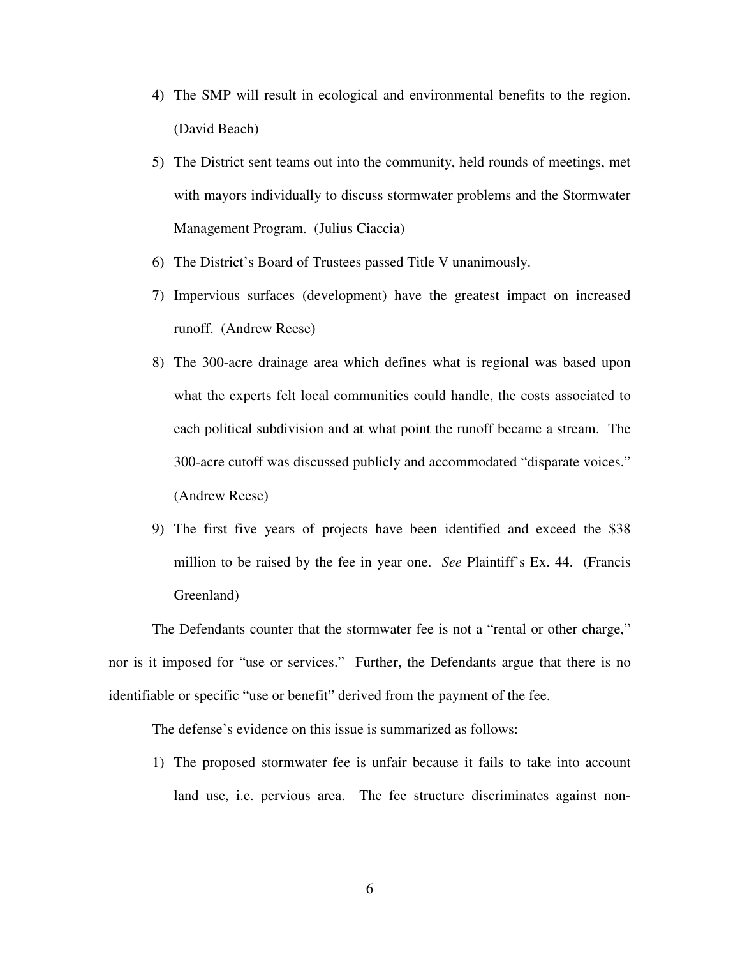- 4) The SMP will result in ecological and environmental benefits to the region. (David Beach)
- 5) The District sent teams out into the community, held rounds of meetings, met with mayors individually to discuss stormwater problems and the Stormwater Management Program. (Julius Ciaccia)
- 6) The District's Board of Trustees passed Title V unanimously.
- 7) Impervious surfaces (development) have the greatest impact on increased runoff. (Andrew Reese)
- 8) The 300-acre drainage area which defines what is regional was based upon what the experts felt local communities could handle, the costs associated to each political subdivision and at what point the runoff became a stream. The 300-acre cutoff was discussed publicly and accommodated "disparate voices." (Andrew Reese)
- 9) The first five years of projects have been identified and exceed the \$38 million to be raised by the fee in year one. *See* Plaintiff's Ex. 44. (Francis Greenland)

The Defendants counter that the stormwater fee is not a "rental or other charge," nor is it imposed for "use or services." Further, the Defendants argue that there is no identifiable or specific "use or benefit" derived from the payment of the fee.

The defense's evidence on this issue is summarized as follows:

1) The proposed stormwater fee is unfair because it fails to take into account land use, i.e. pervious area. The fee structure discriminates against non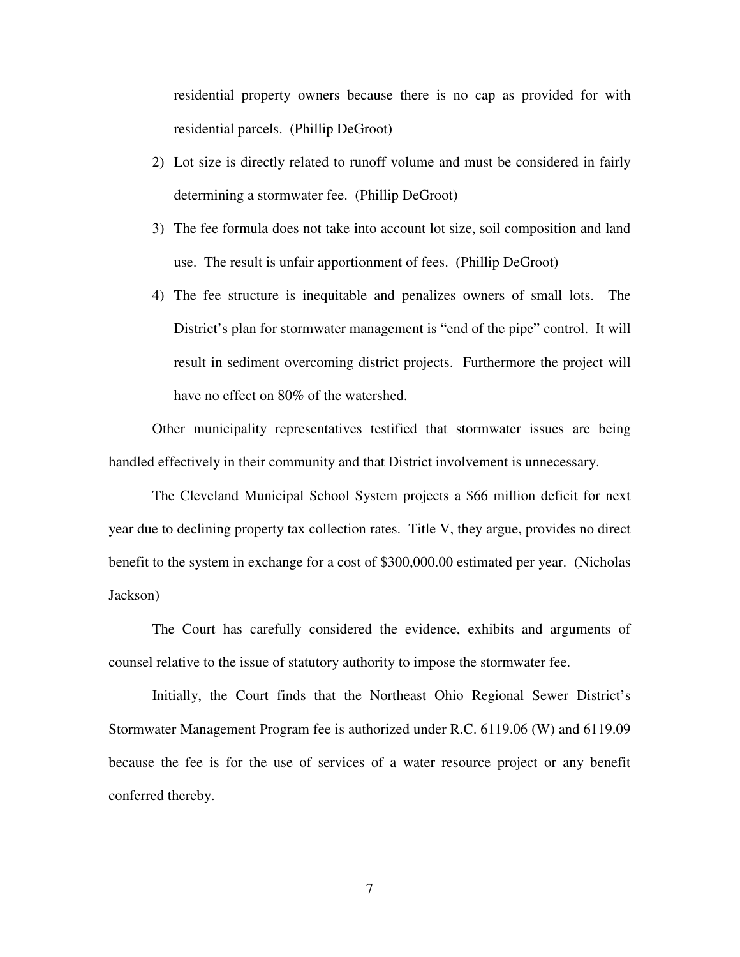residential property owners because there is no cap as provided for with residential parcels. (Phillip DeGroot)

- 2) Lot size is directly related to runoff volume and must be considered in fairly determining a stormwater fee. (Phillip DeGroot)
- 3) The fee formula does not take into account lot size, soil composition and land use. The result is unfair apportionment of fees. (Phillip DeGroot)
- 4) The fee structure is inequitable and penalizes owners of small lots. The District's plan for stormwater management is "end of the pipe" control. It will result in sediment overcoming district projects. Furthermore the project will have no effect on 80% of the watershed.

Other municipality representatives testified that stormwater issues are being handled effectively in their community and that District involvement is unnecessary.

The Cleveland Municipal School System projects a \$66 million deficit for next year due to declining property tax collection rates. Title V, they argue, provides no direct benefit to the system in exchange for a cost of \$300,000.00 estimated per year. (Nicholas Jackson)

The Court has carefully considered the evidence, exhibits and arguments of counsel relative to the issue of statutory authority to impose the stormwater fee.

Initially, the Court finds that the Northeast Ohio Regional Sewer District's Stormwater Management Program fee is authorized under R.C. 6119.06 (W) and 6119.09 because the fee is for the use of services of a water resource project or any benefit conferred thereby.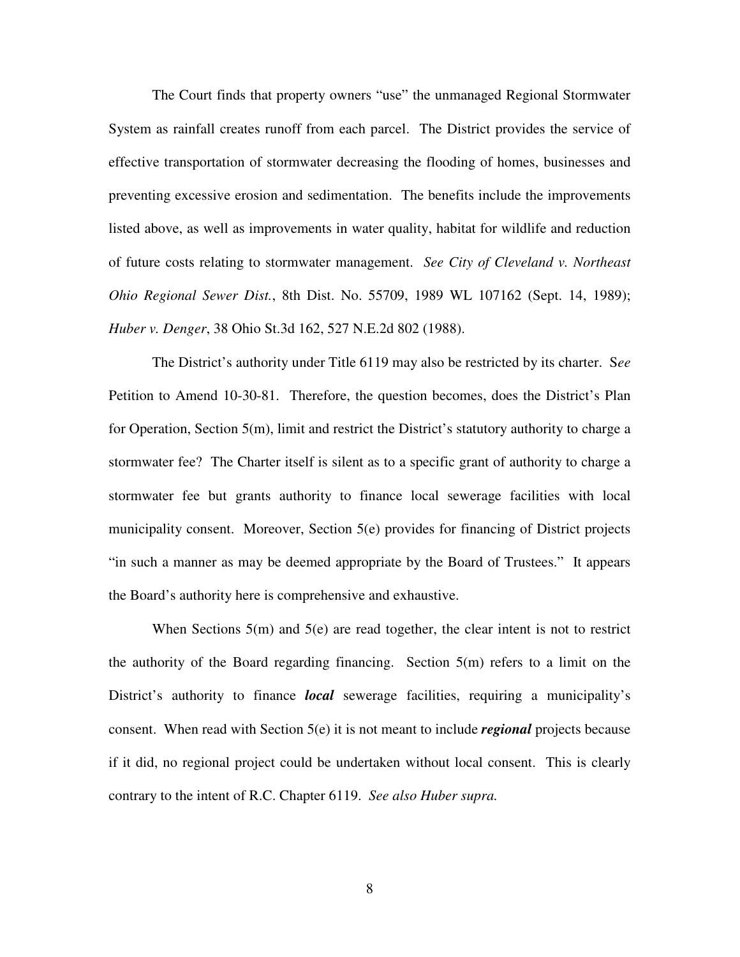The Court finds that property owners "use" the unmanaged Regional Stormwater System as rainfall creates runoff from each parcel. The District provides the service of effective transportation of stormwater decreasing the flooding of homes, businesses and preventing excessive erosion and sedimentation. The benefits include the improvements listed above, as well as improvements in water quality, habitat for wildlife and reduction of future costs relating to stormwater management. *See City of Cleveland v. Northeast Ohio Regional Sewer Dist.*, 8th Dist. No. 55709, 1989 WL 107162 (Sept. 14, 1989); *Huber v. Denger*, 38 Ohio St.3d 162, 527 N.E.2d 802 (1988).

The District's authority under Title 6119 may also be restricted by its charter. S*ee* Petition to Amend 10-30-81. Therefore, the question becomes, does the District's Plan for Operation, Section 5(m), limit and restrict the District's statutory authority to charge a stormwater fee? The Charter itself is silent as to a specific grant of authority to charge a stormwater fee but grants authority to finance local sewerage facilities with local municipality consent. Moreover, Section 5(e) provides for financing of District projects "in such a manner as may be deemed appropriate by the Board of Trustees." It appears the Board's authority here is comprehensive and exhaustive.

When Sections  $5(m)$  and  $5(e)$  are read together, the clear intent is not to restrict the authority of the Board regarding financing. Section 5(m) refers to a limit on the District's authority to finance *local* sewerage facilities, requiring a municipality's consent. When read with Section 5(e) it is not meant to include *regional* projects because if it did, no regional project could be undertaken without local consent. This is clearly contrary to the intent of R.C. Chapter 6119. *See also Huber supra.*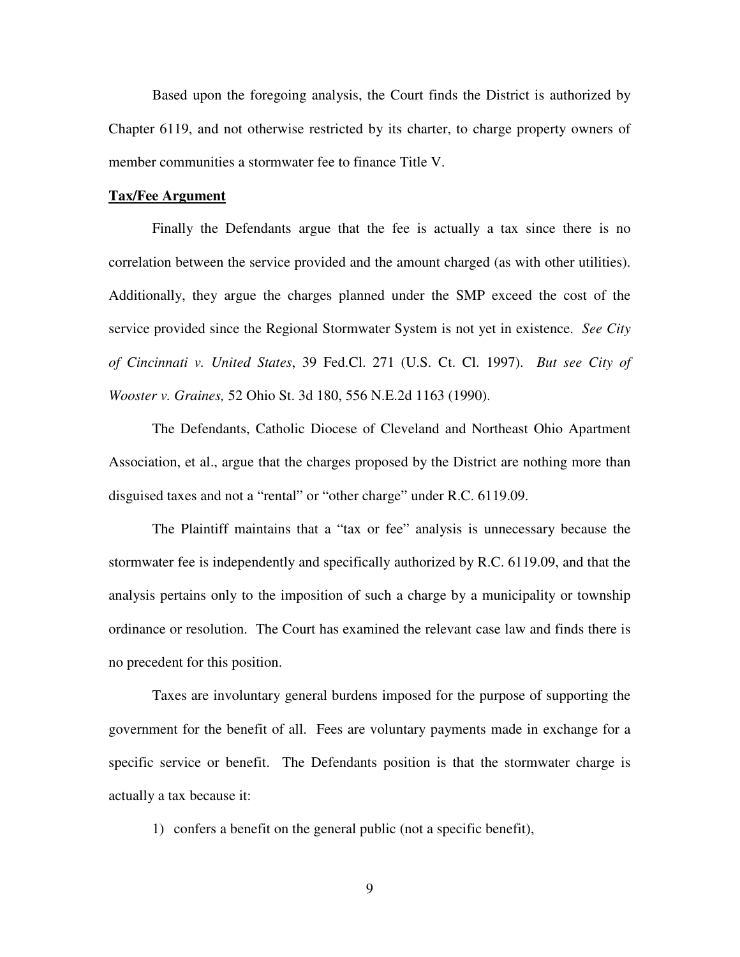Based upon the foregoing analysis, the Court finds the District is authorized by Chapter 6119, and not otherwise restricted by its charter, to charge property owners of member communities a stormwater fee to finance Title V.

### **Tax/Fee Argument**

Finally the Defendants argue that the fee is actually a tax since there is no correlation between the service provided and the amount charged (as with other utilities). Additionally, they argue the charges planned under the SMP exceed the cost of the service provided since the Regional Stormwater System is not yet in existence. *See City of Cincinnati v. United States*, 39 Fed.Cl. 271 (U.S. Ct. Cl. 1997). *But see City of Wooster v. Graines,* 52 Ohio St. 3d 180, 556 N.E.2d 1163 (1990).

The Defendants, Catholic Diocese of Cleveland and Northeast Ohio Apartment Association, et al., argue that the charges proposed by the District are nothing more than disguised taxes and not a "rental" or "other charge" under R.C. 6119.09.

The Plaintiff maintains that a "tax or fee" analysis is unnecessary because the stormwater fee is independently and specifically authorized by R.C. 6119.09, and that the analysis pertains only to the imposition of such a charge by a municipality or township ordinance or resolution. The Court has examined the relevant case law and finds there is no precedent for this position.

Taxes are involuntary general burdens imposed for the purpose of supporting the government for the benefit of all. Fees are voluntary payments made in exchange for a specific service or benefit. The Defendants position is that the stormwater charge is actually a tax because it:

1) confers a benefit on the general public (not a specific benefit),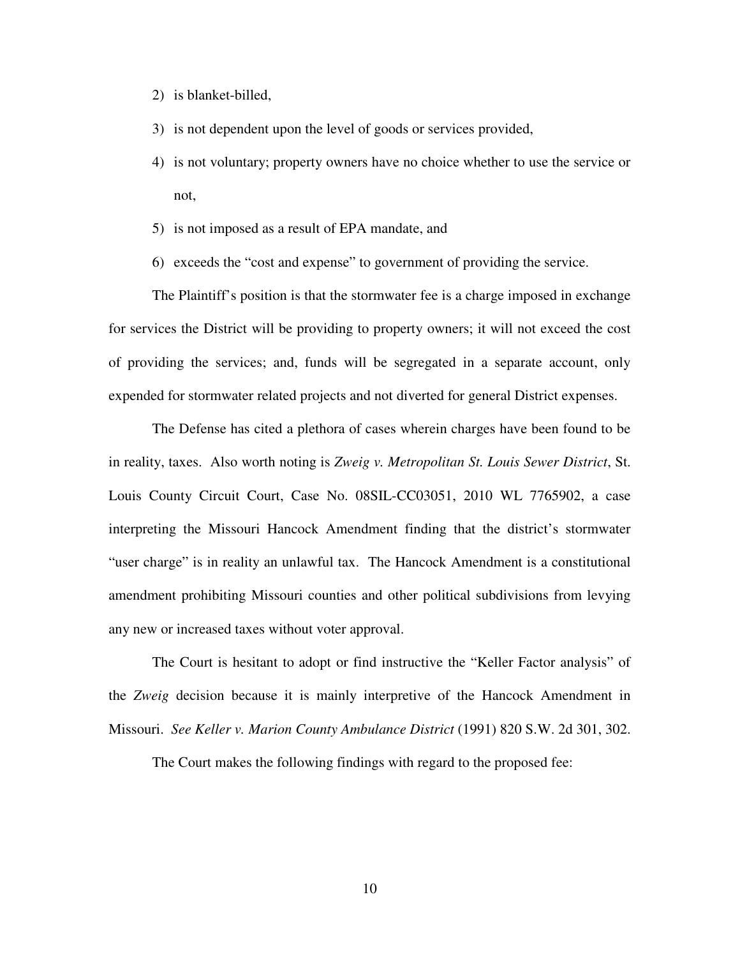- 2) is blanket-billed,
- 3) is not dependent upon the level of goods or services provided,
- 4) is not voluntary; property owners have no choice whether to use the service or not,
- 5) is not imposed as a result of EPA mandate, and
- 6) exceeds the "cost and expense" to government of providing the service.

The Plaintiff's position is that the stormwater fee is a charge imposed in exchange for services the District will be providing to property owners; it will not exceed the cost of providing the services; and, funds will be segregated in a separate account, only expended for stormwater related projects and not diverted for general District expenses.

The Defense has cited a plethora of cases wherein charges have been found to be in reality, taxes. Also worth noting is *Zweig v. Metropolitan St. Louis Sewer District*, St. Louis County Circuit Court, Case No. 08SIL-CC03051, 2010 WL 7765902, a case interpreting the Missouri Hancock Amendment finding that the district's stormwater "user charge" is in reality an unlawful tax. The Hancock Amendment is a constitutional amendment prohibiting Missouri counties and other political subdivisions from levying any new or increased taxes without voter approval.

The Court is hesitant to adopt or find instructive the "Keller Factor analysis" of the *Zweig* decision because it is mainly interpretive of the Hancock Amendment in Missouri. *See Keller v. Marion County Ambulance District* (1991) 820 S.W. 2d 301, 302.

The Court makes the following findings with regard to the proposed fee: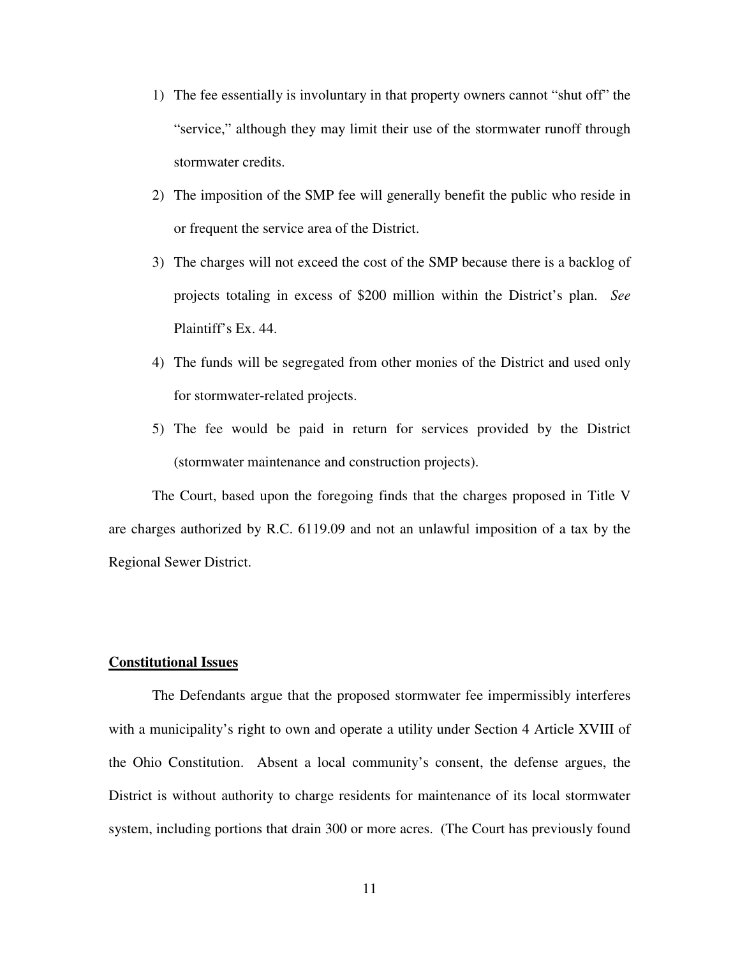- 1) The fee essentially is involuntary in that property owners cannot "shut off" the "service," although they may limit their use of the stormwater runoff through stormwater credits.
- 2) The imposition of the SMP fee will generally benefit the public who reside in or frequent the service area of the District.
- 3) The charges will not exceed the cost of the SMP because there is a backlog of projects totaling in excess of \$200 million within the District's plan. *See* Plaintiff's Ex. 44.
- 4) The funds will be segregated from other monies of the District and used only for stormwater-related projects.
- 5) The fee would be paid in return for services provided by the District (stormwater maintenance and construction projects).

The Court, based upon the foregoing finds that the charges proposed in Title V are charges authorized by R.C. 6119.09 and not an unlawful imposition of a tax by the Regional Sewer District.

# **Constitutional Issues**

The Defendants argue that the proposed stormwater fee impermissibly interferes with a municipality's right to own and operate a utility under Section 4 Article XVIII of the Ohio Constitution. Absent a local community's consent, the defense argues, the District is without authority to charge residents for maintenance of its local stormwater system, including portions that drain 300 or more acres. (The Court has previously found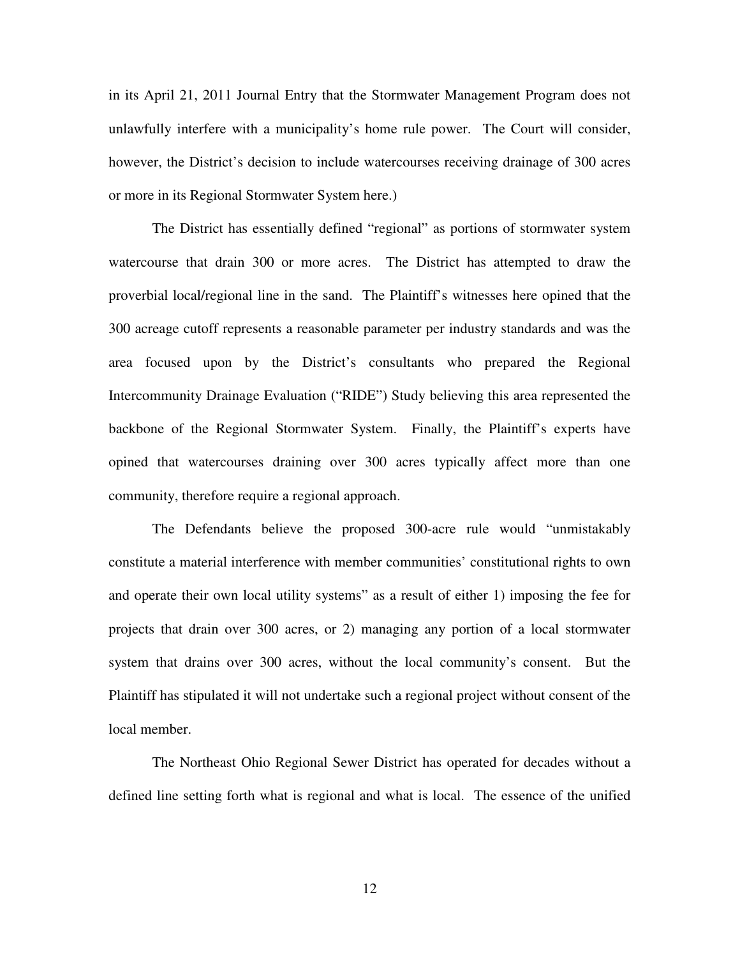in its April 21, 2011 Journal Entry that the Stormwater Management Program does not unlawfully interfere with a municipality's home rule power. The Court will consider, however, the District's decision to include watercourses receiving drainage of 300 acres or more in its Regional Stormwater System here.)

The District has essentially defined "regional" as portions of stormwater system watercourse that drain 300 or more acres. The District has attempted to draw the proverbial local/regional line in the sand. The Plaintiff's witnesses here opined that the 300 acreage cutoff represents a reasonable parameter per industry standards and was the area focused upon by the District's consultants who prepared the Regional Intercommunity Drainage Evaluation ("RIDE") Study believing this area represented the backbone of the Regional Stormwater System. Finally, the Plaintiff's experts have opined that watercourses draining over 300 acres typically affect more than one community, therefore require a regional approach.

The Defendants believe the proposed 300-acre rule would "unmistakably constitute a material interference with member communities' constitutional rights to own and operate their own local utility systems" as a result of either 1) imposing the fee for projects that drain over 300 acres, or 2) managing any portion of a local stormwater system that drains over 300 acres, without the local community's consent. But the Plaintiff has stipulated it will not undertake such a regional project without consent of the local member.

The Northeast Ohio Regional Sewer District has operated for decades without a defined line setting forth what is regional and what is local. The essence of the unified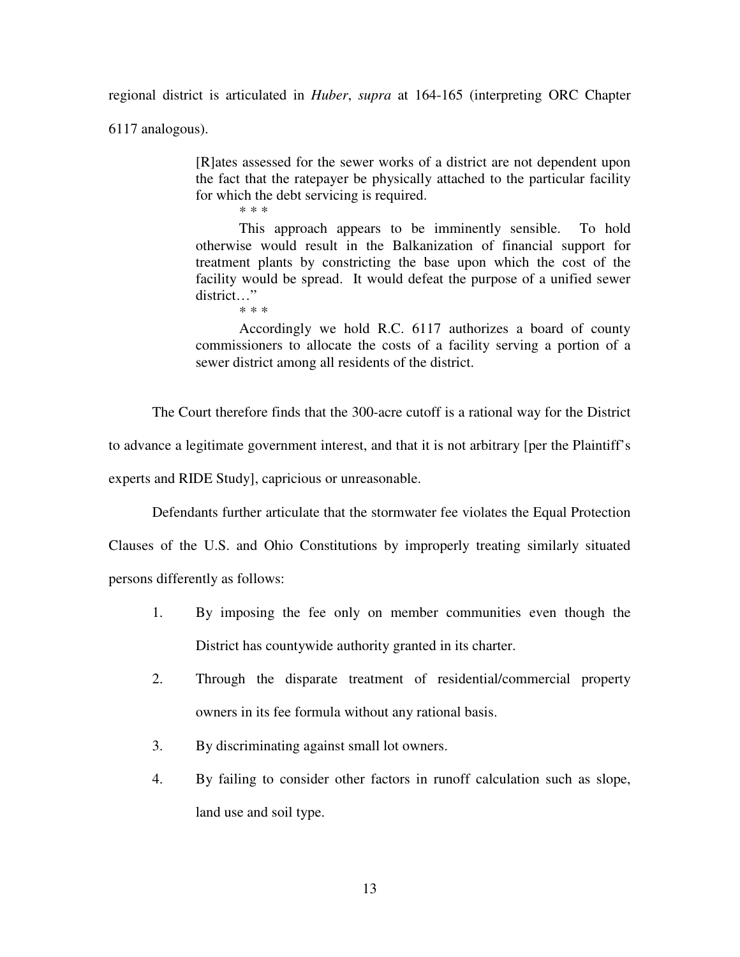regional district is articulated in *Huber*, *supra* at 164-165 (interpreting ORC Chapter

6117 analogous).

[R]ates assessed for the sewer works of a district are not dependent upon the fact that the ratepayer be physically attached to the particular facility for which the debt servicing is required. \* \* \*

This approach appears to be imminently sensible. To hold otherwise would result in the Balkanization of financial support for treatment plants by constricting the base upon which the cost of the facility would be spread. It would defeat the purpose of a unified sewer district…" \* \* \*

Accordingly we hold R.C. 6117 authorizes a board of county commissioners to allocate the costs of a facility serving a portion of a sewer district among all residents of the district.

The Court therefore finds that the 300-acre cutoff is a rational way for the District

to advance a legitimate government interest, and that it is not arbitrary [per the Plaintiff's

experts and RIDE Study], capricious or unreasonable.

Defendants further articulate that the stormwater fee violates the Equal Protection

Clauses of the U.S. and Ohio Constitutions by improperly treating similarly situated persons differently as follows:

- 1. By imposing the fee only on member communities even though the District has countywide authority granted in its charter.
- 2. Through the disparate treatment of residential/commercial property owners in its fee formula without any rational basis.
- 3. By discriminating against small lot owners.
- 4. By failing to consider other factors in runoff calculation such as slope, land use and soil type.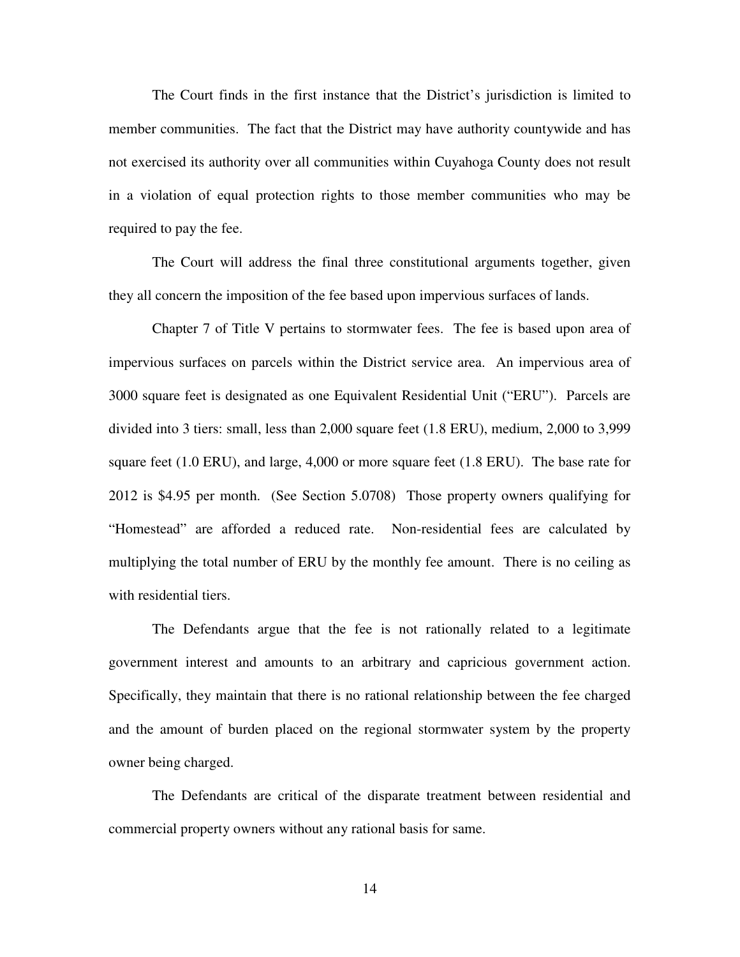The Court finds in the first instance that the District's jurisdiction is limited to member communities. The fact that the District may have authority countywide and has not exercised its authority over all communities within Cuyahoga County does not result in a violation of equal protection rights to those member communities who may be required to pay the fee.

The Court will address the final three constitutional arguments together, given they all concern the imposition of the fee based upon impervious surfaces of lands.

Chapter 7 of Title V pertains to stormwater fees. The fee is based upon area of impervious surfaces on parcels within the District service area. An impervious area of 3000 square feet is designated as one Equivalent Residential Unit ("ERU"). Parcels are divided into 3 tiers: small, less than 2,000 square feet (1.8 ERU), medium, 2,000 to 3,999 square feet (1.0 ERU), and large, 4,000 or more square feet (1.8 ERU). The base rate for 2012 is \$4.95 per month. (See Section 5.0708) Those property owners qualifying for "Homestead" are afforded a reduced rate. Non-residential fees are calculated by multiplying the total number of ERU by the monthly fee amount. There is no ceiling as with residential tiers.

The Defendants argue that the fee is not rationally related to a legitimate government interest and amounts to an arbitrary and capricious government action. Specifically, they maintain that there is no rational relationship between the fee charged and the amount of burden placed on the regional stormwater system by the property owner being charged.

The Defendants are critical of the disparate treatment between residential and commercial property owners without any rational basis for same.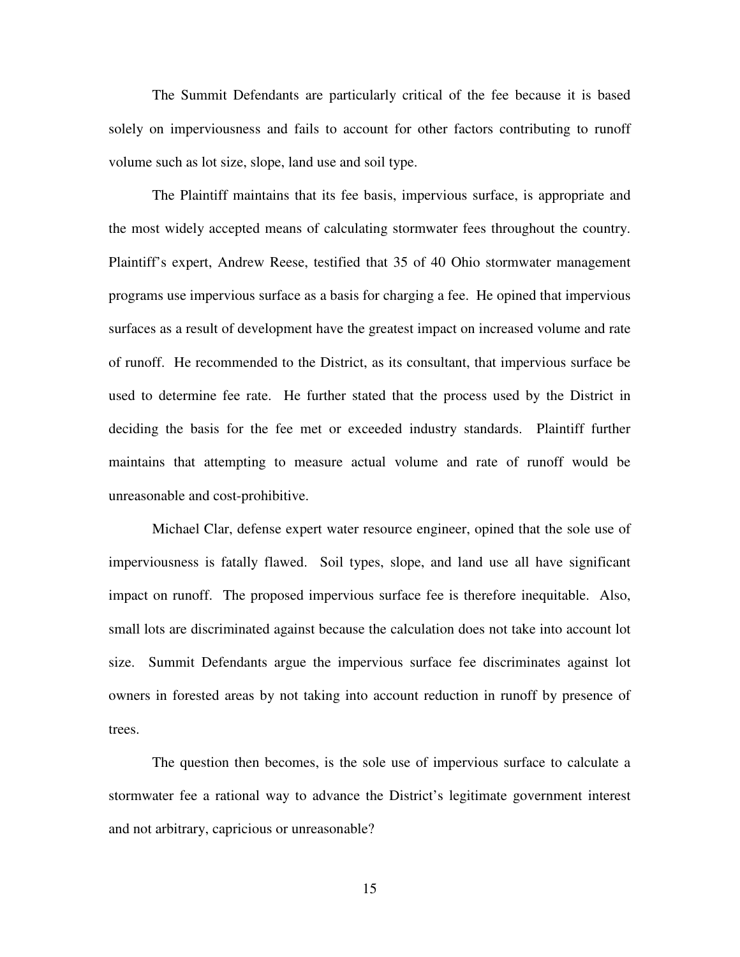The Summit Defendants are particularly critical of the fee because it is based solely on imperviousness and fails to account for other factors contributing to runoff volume such as lot size, slope, land use and soil type.

The Plaintiff maintains that its fee basis, impervious surface, is appropriate and the most widely accepted means of calculating stormwater fees throughout the country. Plaintiff's expert, Andrew Reese, testified that 35 of 40 Ohio stormwater management programs use impervious surface as a basis for charging a fee. He opined that impervious surfaces as a result of development have the greatest impact on increased volume and rate of runoff. He recommended to the District, as its consultant, that impervious surface be used to determine fee rate. He further stated that the process used by the District in deciding the basis for the fee met or exceeded industry standards. Plaintiff further maintains that attempting to measure actual volume and rate of runoff would be unreasonable and cost-prohibitive.

Michael Clar, defense expert water resource engineer, opined that the sole use of imperviousness is fatally flawed. Soil types, slope, and land use all have significant impact on runoff. The proposed impervious surface fee is therefore inequitable. Also, small lots are discriminated against because the calculation does not take into account lot size. Summit Defendants argue the impervious surface fee discriminates against lot owners in forested areas by not taking into account reduction in runoff by presence of trees.

The question then becomes, is the sole use of impervious surface to calculate a stormwater fee a rational way to advance the District's legitimate government interest and not arbitrary, capricious or unreasonable?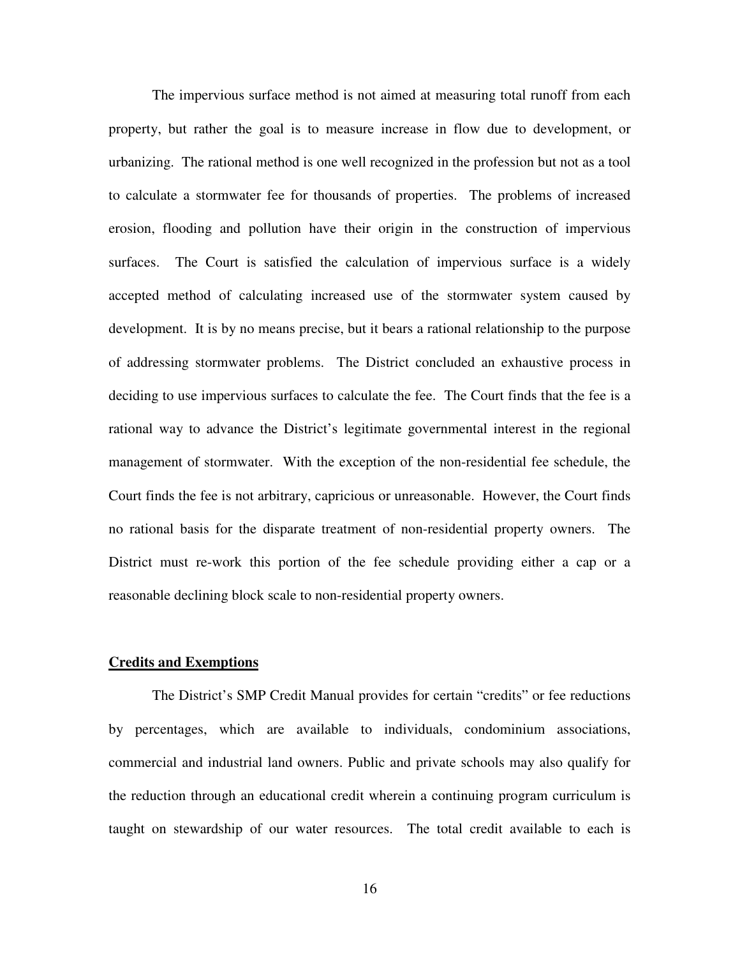The impervious surface method is not aimed at measuring total runoff from each property, but rather the goal is to measure increase in flow due to development, or urbanizing. The rational method is one well recognized in the profession but not as a tool to calculate a stormwater fee for thousands of properties. The problems of increased erosion, flooding and pollution have their origin in the construction of impervious surfaces. The Court is satisfied the calculation of impervious surface is a widely accepted method of calculating increased use of the stormwater system caused by development. It is by no means precise, but it bears a rational relationship to the purpose of addressing stormwater problems. The District concluded an exhaustive process in deciding to use impervious surfaces to calculate the fee. The Court finds that the fee is a rational way to advance the District's legitimate governmental interest in the regional management of stormwater. With the exception of the non-residential fee schedule, the Court finds the fee is not arbitrary, capricious or unreasonable. However, the Court finds no rational basis for the disparate treatment of non-residential property owners. The District must re-work this portion of the fee schedule providing either a cap or a reasonable declining block scale to non-residential property owners.

### **Credits and Exemptions**

The District's SMP Credit Manual provides for certain "credits" or fee reductions by percentages, which are available to individuals, condominium associations, commercial and industrial land owners. Public and private schools may also qualify for the reduction through an educational credit wherein a continuing program curriculum is taught on stewardship of our water resources. The total credit available to each is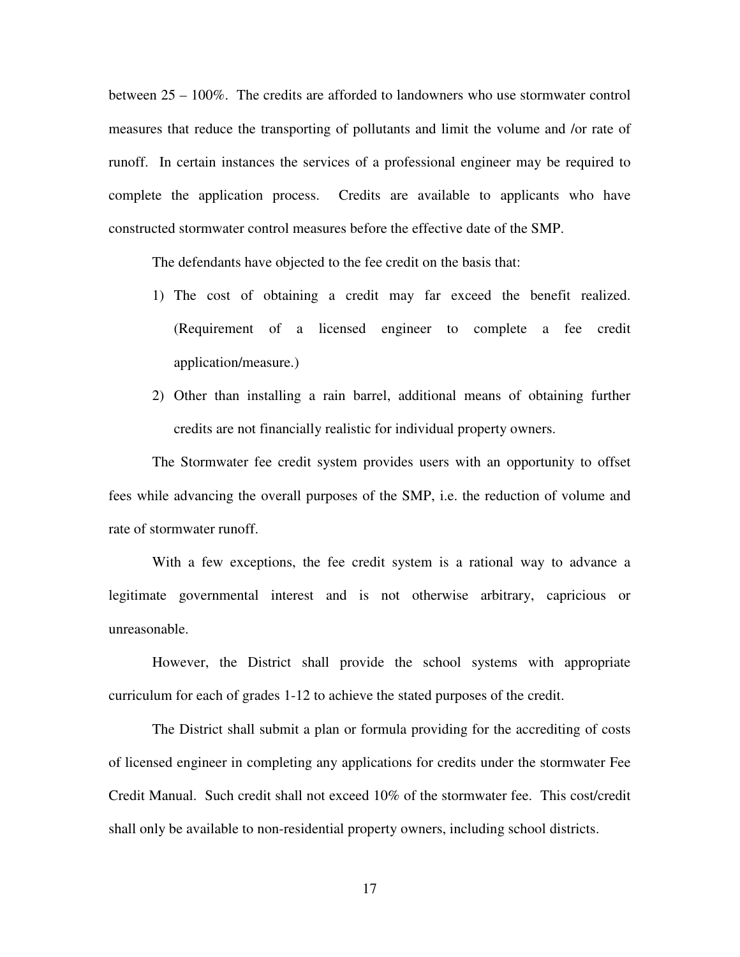between 25 – 100%. The credits are afforded to landowners who use stormwater control measures that reduce the transporting of pollutants and limit the volume and /or rate of runoff. In certain instances the services of a professional engineer may be required to complete the application process. Credits are available to applicants who have constructed stormwater control measures before the effective date of the SMP.

The defendants have objected to the fee credit on the basis that:

- 1) The cost of obtaining a credit may far exceed the benefit realized. (Requirement of a licensed engineer to complete a fee credit application/measure.)
- 2) Other than installing a rain barrel, additional means of obtaining further credits are not financially realistic for individual property owners.

The Stormwater fee credit system provides users with an opportunity to offset fees while advancing the overall purposes of the SMP, i.e. the reduction of volume and rate of stormwater runoff.

With a few exceptions, the fee credit system is a rational way to advance a legitimate governmental interest and is not otherwise arbitrary, capricious or unreasonable.

However, the District shall provide the school systems with appropriate curriculum for each of grades 1-12 to achieve the stated purposes of the credit.

The District shall submit a plan or formula providing for the accrediting of costs of licensed engineer in completing any applications for credits under the stormwater Fee Credit Manual. Such credit shall not exceed 10% of the stormwater fee. This cost/credit shall only be available to non-residential property owners, including school districts.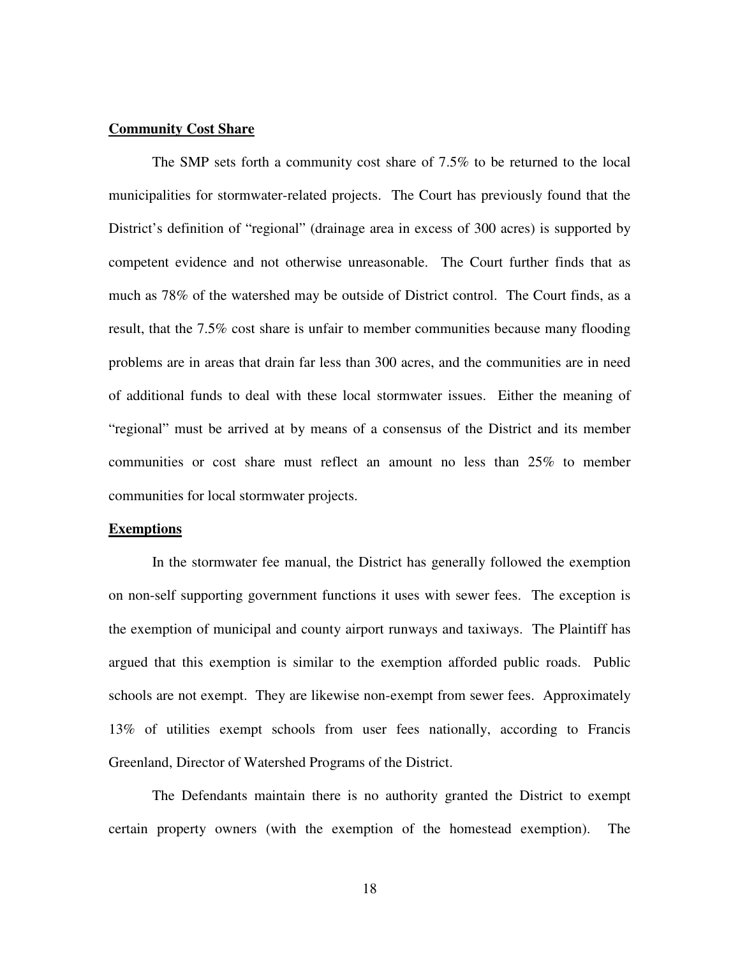# **Community Cost Share**

The SMP sets forth a community cost share of 7.5% to be returned to the local municipalities for stormwater-related projects. The Court has previously found that the District's definition of "regional" (drainage area in excess of 300 acres) is supported by competent evidence and not otherwise unreasonable. The Court further finds that as much as 78% of the watershed may be outside of District control. The Court finds, as a result, that the 7.5% cost share is unfair to member communities because many flooding problems are in areas that drain far less than 300 acres, and the communities are in need of additional funds to deal with these local stormwater issues. Either the meaning of "regional" must be arrived at by means of a consensus of the District and its member communities or cost share must reflect an amount no less than 25% to member communities for local stormwater projects.

### **Exemptions**

In the stormwater fee manual, the District has generally followed the exemption on non-self supporting government functions it uses with sewer fees. The exception is the exemption of municipal and county airport runways and taxiways. The Plaintiff has argued that this exemption is similar to the exemption afforded public roads. Public schools are not exempt. They are likewise non-exempt from sewer fees. Approximately 13% of utilities exempt schools from user fees nationally, according to Francis Greenland, Director of Watershed Programs of the District.

The Defendants maintain there is no authority granted the District to exempt certain property owners (with the exemption of the homestead exemption). The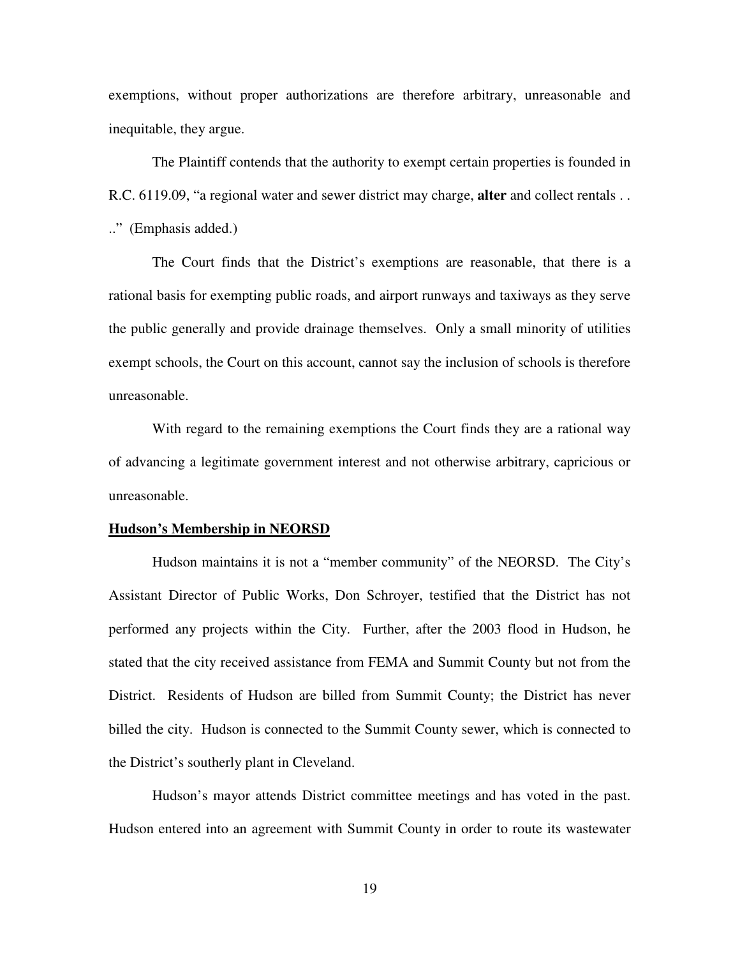exemptions, without proper authorizations are therefore arbitrary, unreasonable and inequitable, they argue.

The Plaintiff contends that the authority to exempt certain properties is founded in R.C. 6119.09, "a regional water and sewer district may charge, **alter** and collect rentals . . .." (Emphasis added.)

The Court finds that the District's exemptions are reasonable, that there is a rational basis for exempting public roads, and airport runways and taxiways as they serve the public generally and provide drainage themselves. Only a small minority of utilities exempt schools, the Court on this account, cannot say the inclusion of schools is therefore unreasonable.

With regard to the remaining exemptions the Court finds they are a rational way of advancing a legitimate government interest and not otherwise arbitrary, capricious or unreasonable.

#### **Hudson's Membership in NEORSD**

Hudson maintains it is not a "member community" of the NEORSD. The City's Assistant Director of Public Works, Don Schroyer, testified that the District has not performed any projects within the City. Further, after the 2003 flood in Hudson, he stated that the city received assistance from FEMA and Summit County but not from the District. Residents of Hudson are billed from Summit County; the District has never billed the city. Hudson is connected to the Summit County sewer, which is connected to the District's southerly plant in Cleveland.

Hudson's mayor attends District committee meetings and has voted in the past. Hudson entered into an agreement with Summit County in order to route its wastewater